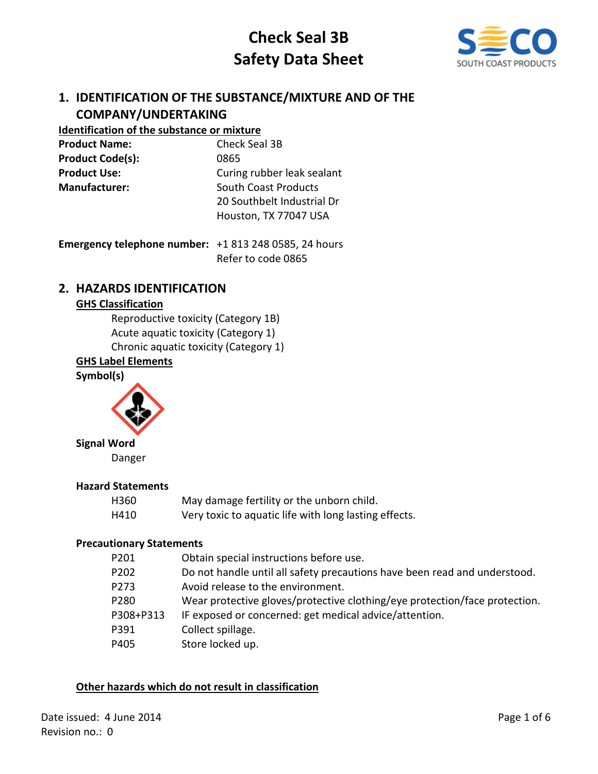

# **1. IDENTIFICATION OF THE SUBSTANCE/MIXTURE AND OF THE COMPANY/UNDERTAKING**

# **Identification of the substance or mixture**

| <b>Product Name:</b>    | Check Seal 3B              |
|-------------------------|----------------------------|
| <b>Product Code(s):</b> | 0865                       |
| <b>Product Use:</b>     | Curing rubber leak sealant |
| <b>Manufacturer:</b>    | South Coast Products       |
|                         | 20 Southbelt Industrial Dr |
|                         | Houston, TX 77047 USA      |
|                         |                            |

| <b>Emergency telephone number:</b> $+18132480585$ , 24 hours |                    |
|--------------------------------------------------------------|--------------------|
|                                                              | Refer to code 0865 |

# **2. HAZARDS IDENTIFICATION**

## **GHS Classification**

Reproductive toxicity (Category 1B) Acute aquatic toxicity (Category 1) Chronic aquatic toxicity (Category 1)

## **GHS Label Elements**

**Symbol(s)**



**Signal Word**

Danger

#### **Hazard Statements**

| H360 | May damage fertility or the unborn child.             |
|------|-------------------------------------------------------|
| H410 | Very toxic to aquatic life with long lasting effects. |

## **Precautionary Statements**

| P201      | Obtain special instructions before use.                                    |
|-----------|----------------------------------------------------------------------------|
| P202      | Do not handle until all safety precautions have been read and understood.  |
| P273      | Avoid release to the environment.                                          |
| P280      | Wear protective gloves/protective clothing/eye protection/face protection. |
| P308+P313 | IF exposed or concerned: get medical advice/attention.                     |
| P391      | Collect spillage.                                                          |
| P405      | Store locked up.                                                           |
|           |                                                                            |

## **Other hazards which do not result in classification**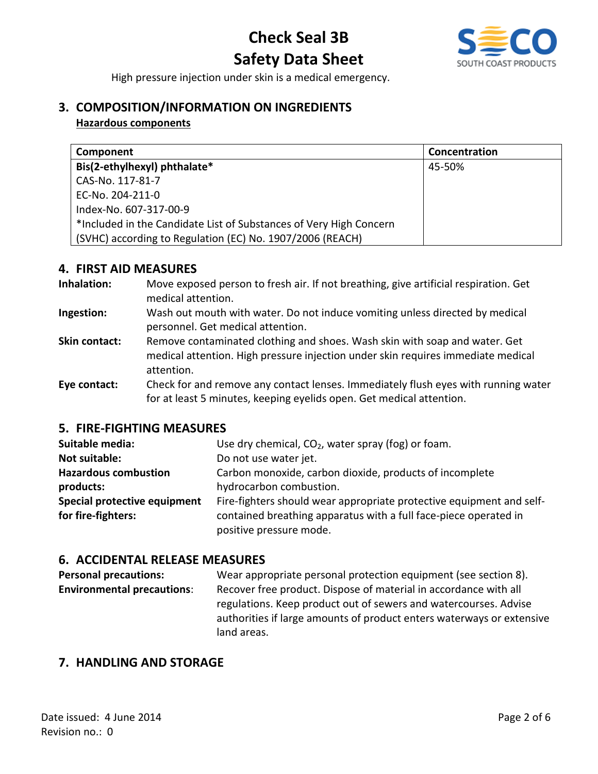

High pressure injection under skin is a medical emergency.

# **3. COMPOSITION/INFORMATION ON INGREDIENTS**

### **Hazardous components**

| Component                                                          | Concentration |
|--------------------------------------------------------------------|---------------|
| Bis(2-ethylhexyl) phthalate*                                       | 45-50%        |
| CAS-No. 117-81-7                                                   |               |
| EC-No. 204-211-0                                                   |               |
| Index-No. 607-317-00-9                                             |               |
| *Included in the Candidate List of Substances of Very High Concern |               |
| (SVHC) according to Regulation (EC) No. 1907/2006 (REACH)          |               |

## **4. FIRST AID MEASURES**

- **Inhalation:** Move exposed person to fresh air. If not breathing, give artificial respiration. Get medical attention.
- **Ingestion:** Wash out mouth with water. Do not induce vomiting unless directed by medical personnel. Get medical attention.
- **Skin contact:** Remove contaminated clothing and shoes. Wash skin with soap and water. Get medical attention. High pressure injection under skin requires immediate medical attention.

**Eye contact:** Check for and remove any contact lenses. Immediately flush eyes with running water for at least 5 minutes, keeping eyelids open. Get medical attention.

## **5. FIRE-FIGHTING MEASURES**

| Suitable media:              | Use dry chemical, $CO2$ , water spray (fog) or foam.                 |
|------------------------------|----------------------------------------------------------------------|
| <b>Not suitable:</b>         | Do not use water jet.                                                |
| <b>Hazardous combustion</b>  | Carbon monoxide, carbon dioxide, products of incomplete              |
| products:                    | hydrocarbon combustion.                                              |
| Special protective equipment | Fire-fighters should wear appropriate protective equipment and self- |
| for fire-fighters:           | contained breathing apparatus with a full face-piece operated in     |
|                              | positive pressure mode.                                              |

## **6. ACCIDENTAL RELEASE MEASURES**

| <b>Personal precautions:</b>      | Wear appropriate personal protection equipment (see section 8).       |
|-----------------------------------|-----------------------------------------------------------------------|
| <b>Environmental precautions:</b> | Recover free product. Dispose of material in accordance with all      |
|                                   | regulations. Keep product out of sewers and watercourses. Advise      |
|                                   | authorities if large amounts of product enters waterways or extensive |
|                                   | land areas.                                                           |

# **7. HANDLING AND STORAGE**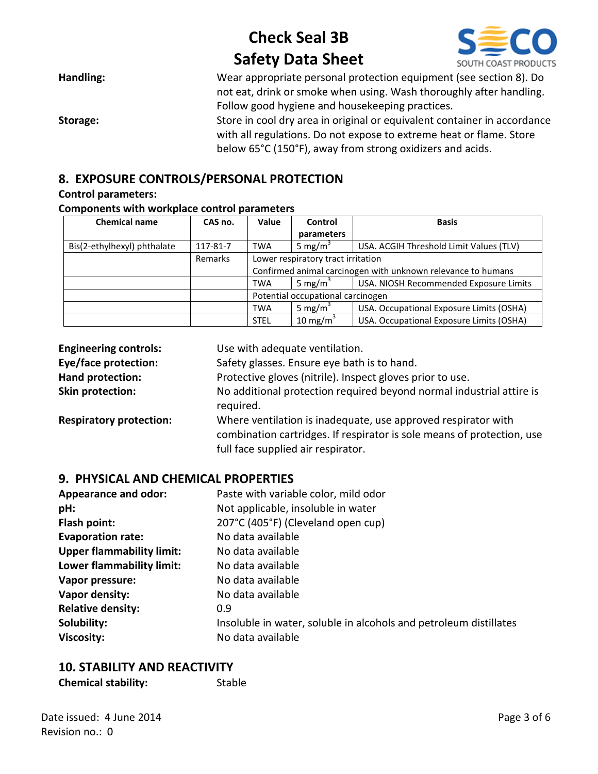

| Handling: | Wear appropriate personal protection equipment (see section 8). Do       |
|-----------|--------------------------------------------------------------------------|
|           | not eat, drink or smoke when using. Wash thoroughly after handling.      |
|           | Follow good hygiene and housekeeping practices.                          |
| Storage:  | Store in cool dry area in original or equivalent container in accordance |
|           | with all regulations. Do not expose to extreme heat or flame. Store      |
|           | below 65°C (150°F), away from strong oxidizers and acids.                |

# **8. EXPOSURE CONTROLS/PERSONAL PROTECTION**

#### **Control parameters:**

#### **Components with workplace control parameters**

| <b>Chemical name</b>        | CAS no.  | Value                                                        | Control              | <b>Basis</b>                             |  |
|-----------------------------|----------|--------------------------------------------------------------|----------------------|------------------------------------------|--|
|                             |          |                                                              | parameters           |                                          |  |
| Bis(2-ethylhexyl) phthalate | 117-81-7 | <b>TWA</b>                                                   | 5 mg/m <sup>3</sup>  | USA. ACGIH Threshold Limit Values (TLV)  |  |
|                             | Remarks  | Lower respiratory tract irritation                           |                      |                                          |  |
|                             |          | Confirmed animal carcinogen with unknown relevance to humans |                      |                                          |  |
|                             |          | <b>TWA</b>                                                   | 5 mg/m <sup>3</sup>  | USA. NIOSH Recommended Exposure Limits   |  |
|                             |          | Potential occupational carcinogen                            |                      |                                          |  |
|                             |          | <b>TWA</b>                                                   | 5 mg/m <sup>3</sup>  | USA. Occupational Exposure Limits (OSHA) |  |
|                             |          | <b>STEL</b>                                                  | 10 mg/m <sup>3</sup> | USA. Occupational Exposure Limits (OSHA) |  |

| <b>Engineering controls:</b>   | Use with adequate ventilation.                                                                                                                                                |
|--------------------------------|-------------------------------------------------------------------------------------------------------------------------------------------------------------------------------|
| <b>Eye/face protection:</b>    | Safety glasses. Ensure eye bath is to hand.                                                                                                                                   |
| Hand protection:               | Protective gloves (nitrile). Inspect gloves prior to use.                                                                                                                     |
| Skin protection:               | No additional protection required beyond normal industrial attire is<br>required.                                                                                             |
| <b>Respiratory protection:</b> | Where ventilation is inadequate, use approved respirator with<br>combination cartridges. If respirator is sole means of protection, use<br>full face supplied air respirator. |

## **9. PHYSICAL AND CHEMICAL PROPERTIES**

| <b>Appearance and odor:</b>      | Paste with variable color, mild odor                              |  |
|----------------------------------|-------------------------------------------------------------------|--|
| pH:                              | Not applicable, insoluble in water                                |  |
| Flash point:                     | 207°C (405°F) (Cleveland open cup)                                |  |
| <b>Evaporation rate:</b>         | No data available                                                 |  |
| <b>Upper flammability limit:</b> | No data available                                                 |  |
| Lower flammability limit:        | No data available                                                 |  |
| Vapor pressure:                  | No data available                                                 |  |
| Vapor density:                   | No data available                                                 |  |
| <b>Relative density:</b>         | 0.9                                                               |  |
| Solubility:                      | Insoluble in water, soluble in alcohols and petroleum distillates |  |
| <b>Viscosity:</b>                | No data available                                                 |  |

# **10. STABILITY AND REACTIVITY**

| <b>Chemical stability:</b> | Stable |
|----------------------------|--------|
|----------------------------|--------|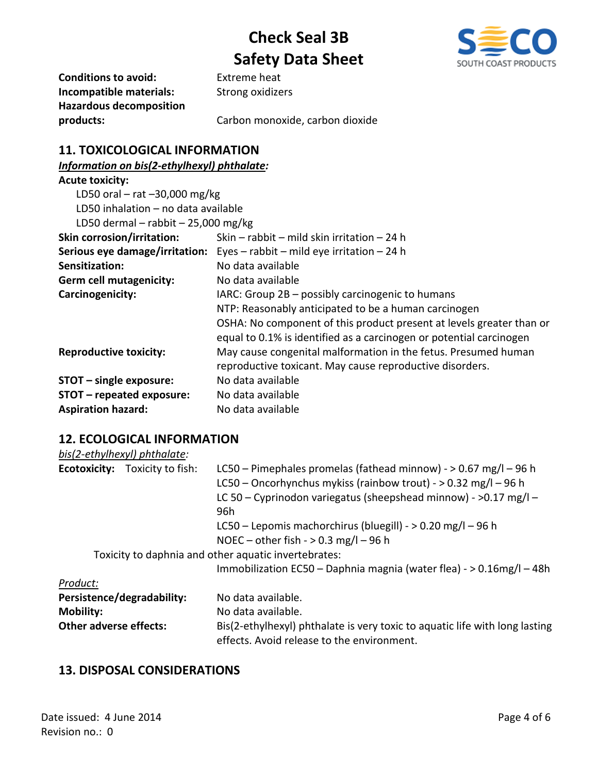

**Conditions to avoid:** Extreme heat **Incompatible materials:** Strong oxidizers **Hazardous decomposition** 

**products:** Carbon monoxide, carbon dioxide

# **11. TOXICOLOGICAL INFORMATION**

## *Information on bis(2-ethylhexyl) phthalate:*

| <b>Acute toxicity:</b>                |                                                                                  |  |  |  |
|---------------------------------------|----------------------------------------------------------------------------------|--|--|--|
| LD50 oral $-$ rat $-30,000$ mg/kg     |                                                                                  |  |  |  |
| LD50 inhalation – no data available   |                                                                                  |  |  |  |
| LD50 dermal - rabbit $-$ 25,000 mg/kg |                                                                                  |  |  |  |
| <b>Skin corrosion/irritation:</b>     | Skin – rabbit – mild skin irritation – 24 h                                      |  |  |  |
|                                       | <b>Serious eye damage/irritation:</b> Eyes – rabbit – mild eye irritation – 24 h |  |  |  |
| Sensitization:                        | No data available                                                                |  |  |  |
| <b>Germ cell mutagenicity:</b>        | No data available                                                                |  |  |  |
| Carcinogenicity:                      | IARC: Group 2B – possibly carcinogenic to humans                                 |  |  |  |
|                                       | NTP: Reasonably anticipated to be a human carcinogen                             |  |  |  |
|                                       | OSHA: No component of this product present at levels greater than or             |  |  |  |
|                                       | equal to 0.1% is identified as a carcinogen or potential carcinogen              |  |  |  |
| <b>Reproductive toxicity:</b>         | May cause congenital malformation in the fetus. Presumed human                   |  |  |  |
|                                       | reproductive toxicant. May cause reproductive disorders.                         |  |  |  |
| STOT - single exposure:               | No data available                                                                |  |  |  |
| STOT - repeated exposure:             | No data available                                                                |  |  |  |
| <b>Aspiration hazard:</b>             | No data available                                                                |  |  |  |

## **12. ECOLOGICAL INFORMATION**

|                               | bis(2-ethylhexyl) phthalate:          |                                                                                                                                                                                                                    |
|-------------------------------|---------------------------------------|--------------------------------------------------------------------------------------------------------------------------------------------------------------------------------------------------------------------|
|                               | <b>Ecotoxicity:</b> Toxicity to fish: | LC50 – Pimephales promelas (fathead minnow) - $> 0.67$ mg/l – 96 h<br>LC50 - Oncorhynchus mykiss (rainbow trout) - > 0.32 mg/l - 96 h<br>LC 50 - Cyprinodon variegatus (sheepshead minnow) - $>0.17$ mg/l -<br>96h |
|                               |                                       | LC50 – Lepomis machorchirus (bluegill) - $> 0.20$ mg/l – 96 h<br>NOEC – other fish - $> 0.3$ mg/l – 96 h                                                                                                           |
|                               |                                       | Toxicity to daphnia and other aquatic invertebrates:                                                                                                                                                               |
|                               |                                       | Immobilization EC50 - Daphnia magnia (water flea) - > 0.16mg/l - 48h                                                                                                                                               |
| Product:                      |                                       |                                                                                                                                                                                                                    |
|                               | Persistence/degradability:            | No data available.                                                                                                                                                                                                 |
| <b>Mobility:</b>              |                                       | No data available.                                                                                                                                                                                                 |
| <b>Other adverse effects:</b> |                                       | Bis(2-ethylhexyl) phthalate is very toxic to aquatic life with long lasting<br>effects. Avoid release to the environment.                                                                                          |

# **13. DISPOSAL CONSIDERATIONS**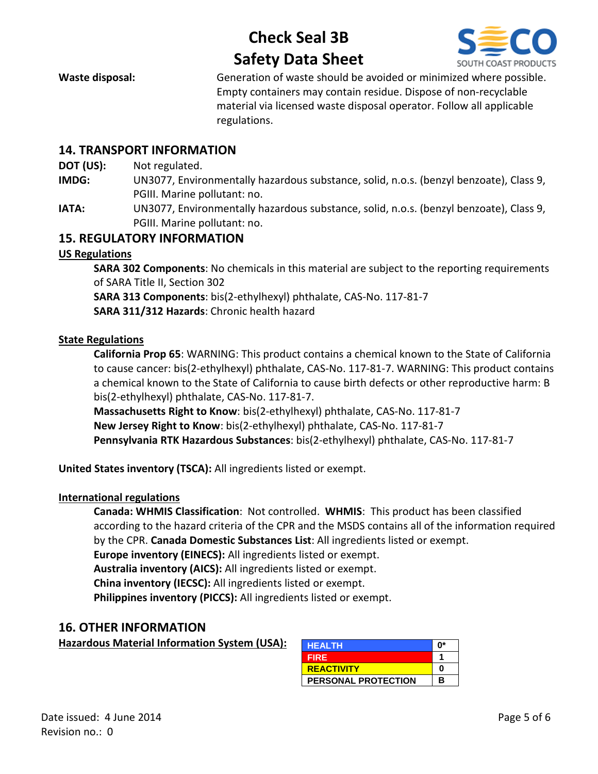

**Waste disposal:** Generation of waste should be avoided or minimized where possible. Empty containers may contain residue. Dispose of non-recyclable material via licensed waste disposal operator. Follow all applicable regulations.

## **14. TRANSPORT INFORMATION**

**DOT (US):** Not regulated.

- **IMDG:** UN3077, Environmentally hazardous substance, solid, n.o.s. (benzyl benzoate), Class 9, PGIII. Marine pollutant: no.
- **IATA:** UN3077, Environmentally hazardous substance, solid, n.o.s. (benzyl benzoate), Class 9, PGIII. Marine pollutant: no.

## **15. REGULATORY INFORMATION**

#### **US Regulations**

**SARA 302 Components**: No chemicals in this material are subject to the reporting requirements of SARA Title II, Section 302 **SARA 313 Components**: bis(2-ethylhexyl) phthalate, CAS-No. 117-81-7 **SARA 311/312 Hazards**: Chronic health hazard

#### **State Regulations**

**California Prop 65**: WARNING: This product contains a chemical known to the State of California to cause cancer: bis(2-ethylhexyl) phthalate, CAS-No. 117-81-7. WARNING: This product contains a chemical known to the State of California to cause birth defects or other reproductive harm: B bis(2-ethylhexyl) phthalate, CAS-No. 117-81-7.

**Massachusetts Right to Know**: bis(2-ethylhexyl) phthalate, CAS-No. 117-81-7 **New Jersey Right to Know**: bis(2-ethylhexyl) phthalate, CAS-No. 117-81-7 **Pennsylvania RTK Hazardous Substances**: bis(2-ethylhexyl) phthalate, CAS-No. 117-81-7

**United States inventory (TSCA):** All ingredients listed or exempt.

#### **International regulations**

**Canada: WHMIS Classification**: Not controlled. **WHMIS**: This product has been classified according to the hazard criteria of the CPR and the MSDS contains all of the information required by the CPR. **Canada Domestic Substances List**: All ingredients listed or exempt.

**Europe inventory (EINECS):** All ingredients listed or exempt.

**Australia inventory (AICS):** All ingredients listed or exempt.

**China inventory (IECSC):** All ingredients listed or exempt.

**Philippines inventory (PICCS):** All ingredients listed or exempt.

## **16. OTHER INFORMATION**

**Hazardous Material Information System (USA):** 

| <b>HEALTH</b>              | በ* |
|----------------------------|----|
| <b>FIRE</b>                |    |
| <b>REACTIVITY</b>          | Λ  |
| <b>PERSONAL PROTECTION</b> | в  |